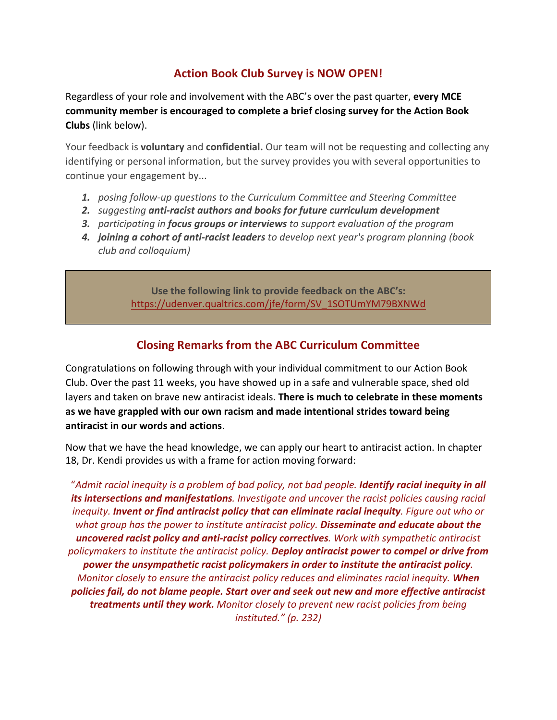## **Action Book Club Survey is NOW OPEN!**

Regardless of your role and involvement with the ABC's over the past quarter, **every MCE community member is encouraged to complete a brief closing survey for the Action Book Clubs** (link below).

Your feedback is **voluntary** and **confidential.** Our team will not be requesting and collecting any identifying or personal information, but the survey provides you with several opportunities to continue your engagement by...

- *1. posing follow-up questions to the Curriculum Committee and Steering Committee*
- *2. suggesting anti-racist authors and books for future curriculum development*
- *3. participating in focus groups or interviews to support evaluation of the program*
- *4. joining a cohort of anti-racist leaders to develop next year's program planning (book club and colloquium)*

**Use the following link to provide feedback on the ABC's:** https://udenver.qualtrics.com/jfe/form/SV\_1SOTUmYM79BXNWd

## **Closing Remarks from the ABC Curriculum Committee**

Congratulations on following through with your individual commitment to our Action Book Club. Over the past 11 weeks, you have showed up in a safe and vulnerable space, shed old layers and taken on brave new antiracist ideals. **There is much to celebrate in these moments as we have grappled with our own racism and made intentional strides toward being antiracist in our words and actions**.

Now that we have the head knowledge, we can apply our heart to antiracist action. In chapter 18, Dr. Kendi provides us with a frame for action moving forward:

"*Admit racial inequity is a problem of bad policy, not bad people. Identify racial inequity in all its intersections and manifestations. Investigate and uncover the racist policies causing racial inequity. Invent or find antiracist policy that can eliminate racial inequity. Figure out who or what group has the power to institute antiracist policy. Disseminate and educate about the uncovered racist policy and anti-racist policy correctives. Work with sympathetic antiracist policymakers to institute the antiracist policy. Deploy antiracist power to compel or drive from power the unsympathetic racist policymakers in order to institute the antiracist policy. Monitor closely to ensure the antiracist policy reduces and eliminates racial inequity. When policies fail, do not blame people. Start over and seek out new and more effective antiracist treatments until they work. Monitor closely to prevent new racist policies from being instituted." (p. 232)*